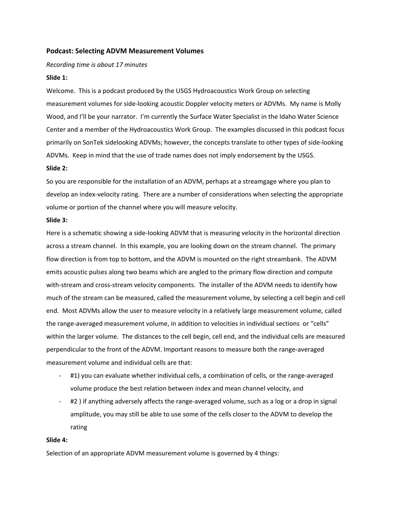# **Podcast: Selecting ADVM Measurement Volumes**

*Recording time is about 17 minutes*

## **Slide 1:**

Welcome. This is a podcast produced by the USGS Hydroacoustics Work Group on selecting measurement volumes for side‐looking acoustic Doppler velocity meters or ADVMs. My name is Molly Wood, and I'll be your narrator. I'm currently the Surface Water Specialist in the Idaho Water Science Center and a member of the Hydroacoustics Work Group. The examples discussed in this podcast focus primarily on SonTek sidelooking ADVMs; however, the concepts translate to other types of side‐looking ADVMs. Keep in mind that the use of trade names does not imply endorsement by the USGS.

### **Slide 2:**

So you are responsible for the installation of an ADVM, perhaps at a streamgage where you plan to develop an index‐velocity rating. There are a number of considerations when selecting the appropriate volume or portion of the channel where you will measure velocity.

### **Slide 3:**

Here is a schematic showing a side-looking ADVM that is measuring velocity in the horizontal direction across a stream channel. In this example, you are looking down on the stream channel. The primary flow direction is from top to bottom, and the ADVM is mounted on the right streambank. The ADVM emits acoustic pulses along two beams which are angled to the primary flow direction and compute with-stream and cross-stream velocity components. The installer of the ADVM needs to identify how much of the stream can be measured, called the measurement volume, by selecting a cell begin and cell end. Most ADVMs allow the user to measure velocity in a relatively large measurement volume, called the range-averaged measurement volume, in addition to velocities in individual sections or "cells" within the larger volume. The distances to the cell begin, cell end, and the individual cells are measured perpendicular to the front of the ADVM. Important reasons to measure both the range‐averaged measurement volume and individual cells are that:

- #1) you can evaluate whether individual cells, a combination of cells, or the range-averaged volume produce the best relation between index and mean channel velocity, and
- ‐ #2 ) if anything adversely affects the range‐averaged volume, such as a log or a drop in signal amplitude, you may still be able to use some of the cells closer to the ADVM to develop the rating

### **Slide 4:**

Selection of an appropriate ADVM measurement volume is governed by 4 things: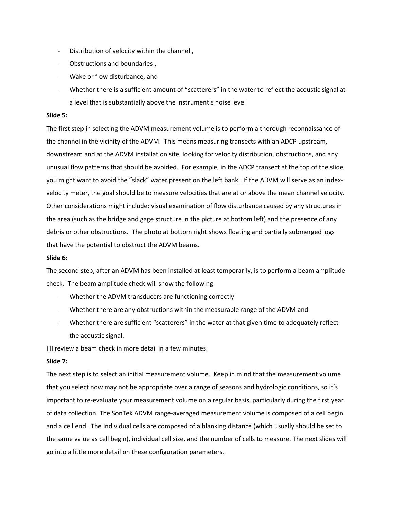- ‐ Distribution of velocity within the channel ,
- ‐ Obstructions and boundaries ,
- ‐ Wake or flow disturbance, and
- ‐ Whether there is a sufficient amount of "scatterers" in the water to reflect the acoustic signal at a level that is substantially above the instrument's noise level

## **Slide 5:**

The first step in selecting the ADVM measurement volume is to perform a thorough reconnaissance of the channel in the vicinity of the ADVM. This means measuring transects with an ADCP upstream, downstream and at the ADVM installation site, looking for velocity distribution, obstructions, and any unusual flow patterns that should be avoided. For example, in the ADCP transect at the top of the slide, you might want to avoid the "slack" water present on the left bank. If the ADVM will serve as an index‐ velocity meter, the goal should be to measure velocities that are at or above the mean channel velocity. Other considerations might include: visual examination of flow disturbance caused by any structures in the area (such as the bridge and gage structure in the picture at bottom left) and the presence of any debris or other obstructions. The photo at bottom right shows floating and partially submerged logs that have the potential to obstruct the ADVM beams.

### **Slide 6:**

The second step, after an ADVM has been installed at least temporarily, is to perform a beam amplitude check. The beam amplitude check will show the following:

- Whether the ADVM transducers are functioning correctly
- ‐ Whether there are any obstructions within the measurable range of the ADVM and
- ‐ Whether there are sufficient "scatterers" in the water at that given time to adequately reflect the acoustic signal.

I'll review a beam check in more detail in a few minutes.

# **Slide 7:**

The next step is to select an initial measurement volume. Keep in mind that the measurement volume that you select now may not be appropriate over a range of seasons and hydrologic conditions, so it's important to re‐evaluate your measurement volume on a regular basis, particularly during the first year of data collection. The SonTek ADVM range‐averaged measurement volume is composed of a cell begin and a cell end. The individual cells are composed of a blanking distance (which usually should be set to the same value as cell begin), individual cell size, and the number of cells to measure. The next slides will go into a little more detail on these configuration parameters.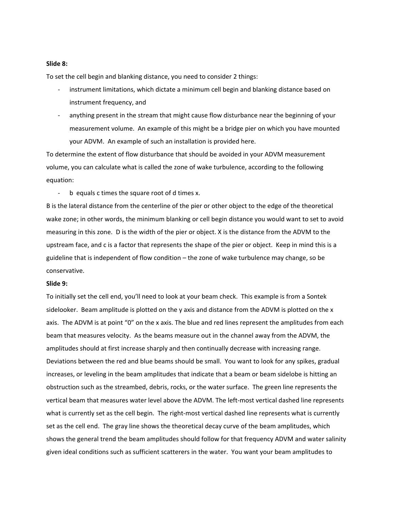### **Slide 8:**

To set the cell begin and blanking distance, you need to consider 2 things:

- instrument limitations, which dictate a minimum cell begin and blanking distance based on instrument frequency, and
- ‐ anything present in the stream that might cause flow disturbance near the beginning of your measurement volume. An example of this might be a bridge pier on which you have mounted your ADVM. An example of such an installation is provided here.

To determine the extent of flow disturbance that should be avoided in your ADVM measurement volume, you can calculate what is called the zone of wake turbulence, according to the following equation:

‐ b equals c times the square root of d times x.

B is the lateral distance from the centerline of the pier or other object to the edge of the theoretical wake zone; in other words, the minimum blanking or cell begin distance you would want to set to avoid measuring in this zone. D is the width of the pier or object. X is the distance from the ADVM to the upstream face, and c is a factor that represents the shape of the pier or object. Keep in mind this is a guideline that is independent of flow condition – the zone of wake turbulence may change, so be conservative.

### **Slide 9:**

To initially set the cell end, you'll need to look at your beam check. This example is from a Sontek sidelooker. Beam amplitude is plotted on the y axis and distance from the ADVM is plotted on the x axis. The ADVM is at point "0" on the x axis. The blue and red lines represent the amplitudes from each beam that measures velocity. As the beams measure out in the channel away from the ADVM, the amplitudes should at first increase sharply and then continually decrease with increasing range. Deviations between the red and blue beams should be small. You want to look for any spikes, gradual increases, or leveling in the beam amplitudes that indicate that a beam or beam sidelobe is hitting an obstruction such as the streambed, debris, rocks, or the water surface. The green line represents the vertical beam that measures water level above the ADVM. The left-most vertical dashed line represents what is currently set as the cell begin. The right-most vertical dashed line represents what is currently set as the cell end. The gray line shows the theoretical decay curve of the beam amplitudes, which shows the general trend the beam amplitudes should follow for that frequency ADVM and water salinity given ideal conditions such as sufficient scatterers in the water. You want your beam amplitudes to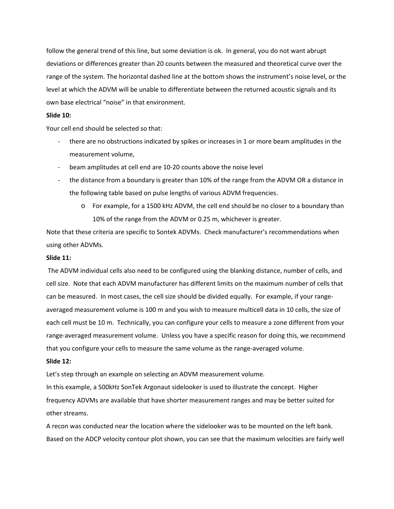follow the general trend of this line, but some deviation is ok. In general, you do not want abrupt deviations or differences greater than 20 counts between the measured and theoretical curve over the range of the system. The horizontal dashed line at the bottom shows the instrument's noise level, or the level at which the ADVM will be unable to differentiate between the returned acoustic signals and its own base electrical "noise" in that environment.

# **Slide 10:**

Your cell end should be selected so that:

- there are no obstructions indicated by spikes or increases in 1 or more beam amplitudes in the measurement volume,
- ‐ beam amplitudes at cell end are 10‐20 counts above the noise level
- the distance from a boundary is greater than 10% of the range from the ADVM OR a distance in the following table based on pulse lengths of various ADVM frequencies.
	- o For example, for a 1500 kHz ADVM, the cell end should be no closer to a boundary than 10% of the range from the ADVM or 0.25 m, whichever is greater.

Note that these criteria are specific to Sontek ADVMs. Check manufacturer's recommendations when using other ADVMs.

# **Slide 11:**

The ADVM individual cells also need to be configured using the blanking distance, number of cells, and cell size. Note that each ADVM manufacturer has different limits on the maximum number of cells that can be measured. In most cases, the cell size should be divided equally. For example, if your rangeaveraged measurement volume is 100 m and you wish to measure multicell data in 10 cells, the size of each cell must be 10 m. Technically, you can configure your cells to measure a zone different from your range-averaged measurement volume. Unless you have a specific reason for doing this, we recommend that you configure your cells to measure the same volume as the range‐averaged volume.

### **Slide 12:**

Let's step through an example on selecting an ADVM measurement volume.

In this example, a 500kHz SonTek Argonaut sidelooker is used to illustrate the concept. Higher frequency ADVMs are available that have shorter measurement ranges and may be better suited for other streams.

A recon was conducted near the location where the sidelooker was to be mounted on the left bank. Based on the ADCP velocity contour plot shown, you can see that the maximum velocities are fairly well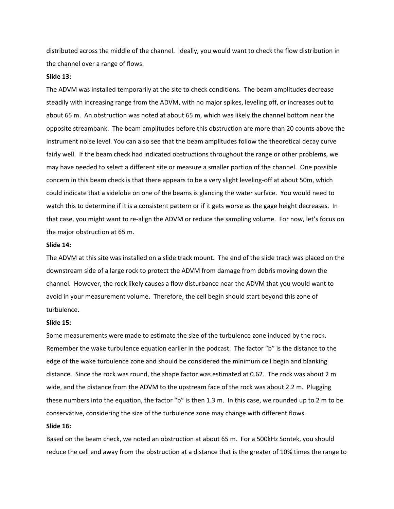distributed across the middle of the channel. Ideally, you would want to check the flow distribution in the channel over a range of flows.

#### **Slide 13:**

The ADVM was installed temporarily at the site to check conditions. The beam amplitudes decrease steadily with increasing range from the ADVM, with no major spikes, leveling off, or increases out to about 65 m. An obstruction was noted at about 65 m, which was likely the channel bottom near the opposite streambank. The beam amplitudes before this obstruction are more than 20 counts above the instrument noise level. You can also see that the beam amplitudes follow the theoretical decay curve fairly well. If the beam check had indicated obstructions throughout the range or other problems, we may have needed to select a different site or measure a smaller portion of the channel. One possible concern in this beam check is that there appears to be a very slight leveling-off at about 50m, which could indicate that a sidelobe on one of the beams is glancing the water surface. You would need to watch this to determine if it is a consistent pattern or if it gets worse as the gage height decreases. In that case, you might want to re-align the ADVM or reduce the sampling volume. For now, let's focus on the major obstruction at 65 m.

### **Slide 14:**

The ADVM at this site was installed on a slide track mount. The end of the slide track was placed on the downstream side of a large rock to protect the ADVM from damage from debris moving down the channel. However, the rock likely causes a flow disturbance near the ADVM that you would want to avoid in your measurement volume. Therefore, the cell begin should start beyond this zone of turbulence.

### **Slide 15:**

Some measurements were made to estimate the size of the turbulence zone induced by the rock. Remember the wake turbulence equation earlier in the podcast. The factor "b" is the distance to the edge of the wake turbulence zone and should be considered the minimum cell begin and blanking distance. Since the rock was round, the shape factor was estimated at 0.62. The rock was about 2 m wide, and the distance from the ADVM to the upstream face of the rock was about 2.2 m. Plugging these numbers into the equation, the factor "b" is then 1.3 m. In this case, we rounded up to 2 m to be conservative, considering the size of the turbulence zone may change with different flows.

# **Slide 16:**

Based on the beam check, we noted an obstruction at about 65 m. For a 500kHz Sontek, you should reduce the cell end away from the obstruction at a distance that is the greater of 10% times the range to